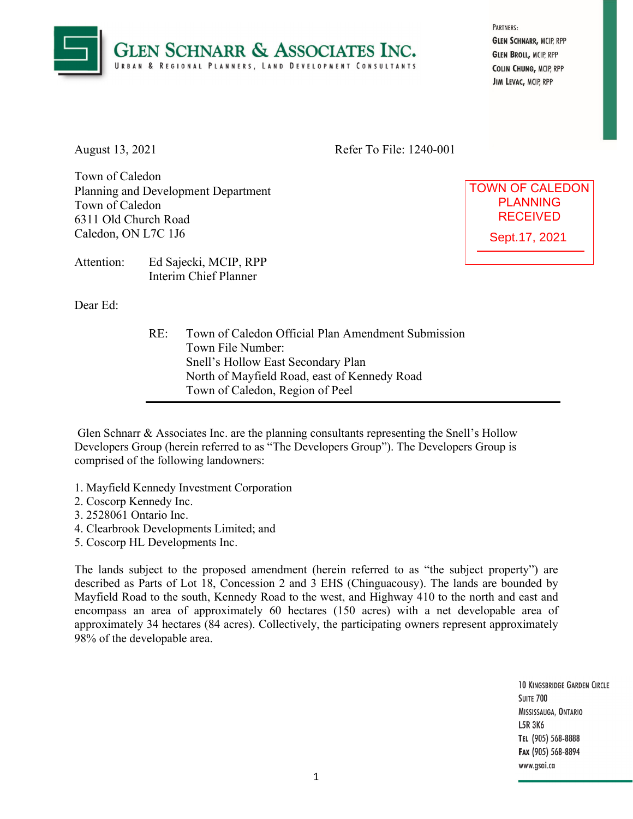

PARTNERS: **GLEN SCHNARR, MCIP, RPP GLEN BROLL, MCIP, RPP** COLIN CHUNG, MCIP, RPP JIM LEVAC, MCIP, RPP

TOWN OF CALEDON PLANNING RECEIVED Sept.17, 2021

August 13, 2021 Refer To File: 1240-001

Town of Caledon Planning and Development Department Town of Caledon 6311 Old Church Road Caledon, ON L7C 1J6

Attention: Ed Sajecki, MCIP, RPP Interim Chief Planner

Dear Ed:

RE: Town of Caledon Official Plan Amendment Submission Town File Number: Snell's Hollow East Secondary Plan North of Mayfield Road, east of Kennedy Road Town of Caledon, Region of Peel

Glen Schnarr & Associates Inc. are the planning consultants representing the Snell's Hollow Developers Group (herein referred to as "The Developers Group"). The Developers Group is comprised of the following landowners:

- 1. Mayfield Kennedy Investment Corporation
- 2. Coscorp Kennedy Inc.
- 3. 2528061 Ontario Inc.
- 4. Clearbrook Developments Limited; and
- 5. Coscorp HL Developments Inc.

The lands subject to the proposed amendment (herein referred to as "the subject property") are described as Parts of Lot 18, Concession 2 and 3 EHS (Chinguacousy). The lands are bounded by Mayfield Road to the south, Kennedy Road to the west, and Highway 410 to the north and east and encompass an area of approximately 60 hectares (150 acres) with a net developable area of approximately 34 hectares (84 acres). Collectively, the participating owners represent approximately 98% of the developable area.

> **10 KINGSBRIDGE GARDEN CIRCLE SUITE 700** MISSISSAUGA, ONTARIO **L5R 3K6** TEL (905) 568-8888 Fax (905) 568-8894 www.gsai.ca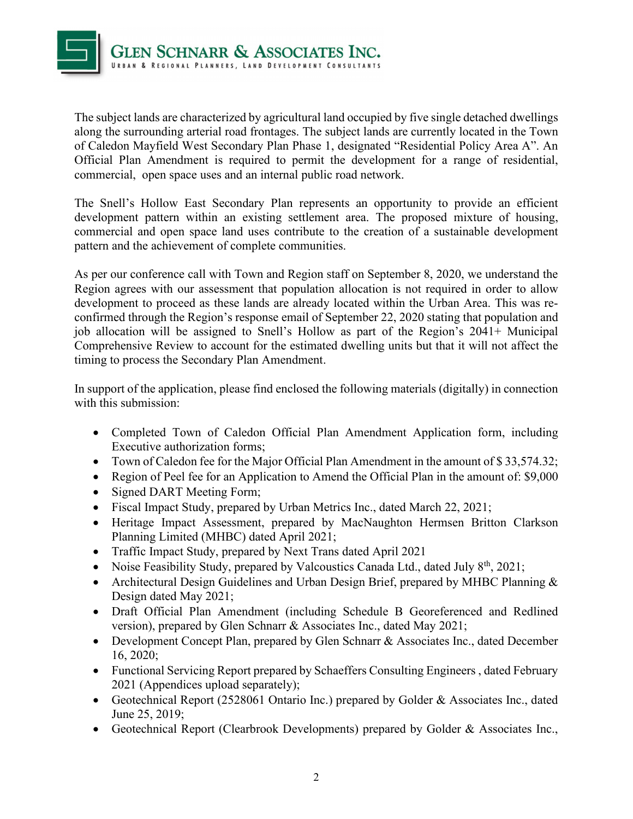

The subject lands are characterized by agricultural land occupied by five single detached dwellings along the surrounding arterial road frontages. The subject lands are currently located in the Town of Caledon Mayfield West Secondary Plan Phase 1, designated "Residential Policy Area A". An Official Plan Amendment is required to permit the development for a range of residential, commercial, open space uses and an internal public road network.

The Snell's Hollow East Secondary Plan represents an opportunity to provide an efficient development pattern within an existing settlement area. The proposed mixture of housing, commercial and open space land uses contribute to the creation of a sustainable development pattern and the achievement of complete communities.

As per our conference call with Town and Region staff on September 8, 2020, we understand the Region agrees with our assessment that population allocation is not required in order to allow development to proceed as these lands are already located within the Urban Area. This was reconfirmed through the Region's response email of September 22, 2020 stating that population and job allocation will be assigned to Snell's Hollow as part of the Region's 2041+ Municipal Comprehensive Review to account for the estimated dwelling units but that it will not affect the timing to process the Secondary Plan Amendment.

In support of the application, please find enclosed the following materials (digitally) in connection with this submission:

- Completed Town of Caledon Official Plan Amendment Application form, including Executive authorization forms;
- Town of Caledon fee for the Major Official Plan Amendment in the amount of \$33,574.32;
- Region of Peel fee for an Application to Amend the Official Plan in the amount of: \$9,000
- Signed DART Meeting Form;
- Fiscal Impact Study, prepared by Urban Metrics Inc., dated March 22, 2021;
- Heritage Impact Assessment, prepared by MacNaughton Hermsen Britton Clarkson Planning Limited (MHBC) dated April 2021;
- Traffic Impact Study, prepared by Next Trans dated April 2021
- Noise Feasibility Study, prepared by Valcoustics Canada Ltd., dated July  $8<sup>th</sup>$ , 2021;
- Architectural Design Guidelines and Urban Design Brief, prepared by MHBC Planning & Design dated May 2021;
- Draft Official Plan Amendment (including Schedule B Georeferenced and Redlined version), prepared by Glen Schnarr & Associates Inc., dated May 2021;
- Development Concept Plan, prepared by Glen Schnarr & Associates Inc., dated December 16, 2020;
- Functional Servicing Report prepared by Schaeffers Consulting Engineers , dated February 2021 (Appendices upload separately);
- Geotechnical Report (2528061 Ontario Inc.) prepared by Golder & Associates Inc., dated June 25, 2019;
- Geotechnical Report (Clearbrook Developments) prepared by Golder & Associates Inc.,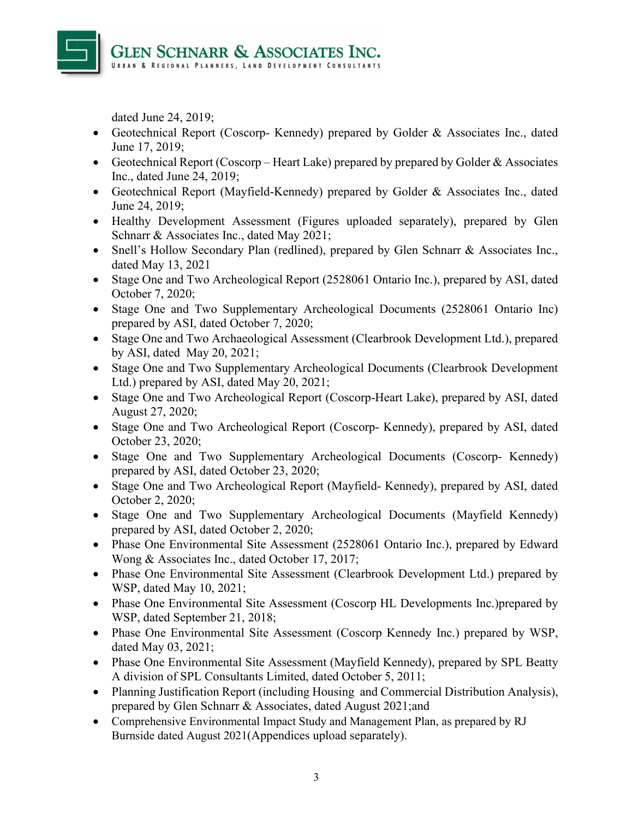

dated June 24, 2019;

- Geotechnical Report (Coscorp- Kennedy) prepared by Golder & Associates Inc., dated June 17, 2019;
- Geotechnical Report (Coscorp Heart Lake) prepared by prepared by Golder & Associates Inc., dated June 24, 2019;
- Geotechnical Report (Mayfield-Kennedy) prepared by Golder & Associates Inc., dated June 24, 2019;
- Healthy Development Assessment (Figures uploaded separately), prepared by Glen Schnarr & Associates Inc., dated May 2021;
- Snell's Hollow Secondary Plan (redlined), prepared by Glen Schnarr & Associates Inc., dated May 13, 2021
- Stage One and Two Archeological Report (2528061 Ontario Inc.), prepared by ASI, dated October 7, 2020;
- Stage One and Two Supplementary Archeological Documents (2528061 Ontario Inc) prepared by ASI, dated October 7, 2020;
- Stage One and Two Archaeological Assessment (Clearbrook Development Ltd.), prepared by ASI, dated May 20, 2021;
- Stage One and Two Supplementary Archeological Documents (Clearbrook Development Ltd.) prepared by ASI, dated May 20, 2021;
- Stage One and Two Archeological Report (Coscorp-Heart Lake), prepared by ASI, dated August 27, 2020;
- Stage One and Two Archeological Report (Coscorp- Kennedy), prepared by ASI, dated October 23, 2020;
- Stage One and Two Supplementary Archeological Documents (Coscorp- Kennedy) prepared by ASI, dated October 23, 2020;
- Stage One and Two Archeological Report (Mayfield- Kennedy), prepared by ASI, dated October 2, 2020;
- Stage One and Two Supplementary Archeological Documents (Mayfield Kennedy) prepared by ASI, dated October 2, 2020;
- Phase One Environmental Site Assessment (2528061 Ontario Inc.), prepared by Edward Wong & Associates Inc., dated October 17, 2017;
- Phase One Environmental Site Assessment (Clearbrook Development Ltd.) prepared by WSP, dated May 10, 2021;
- Phase One Environmental Site Assessment (Coscorp HL Developments Inc.) prepared by WSP, dated September 21, 2018;
- Phase One Environmental Site Assessment (Coscorp Kennedy Inc.) prepared by WSP, dated May 03, 2021;
- Phase One Environmental Site Assessment (Mayfield Kennedy), prepared by SPL Beatty A division of SPL Consultants Limited, dated October 5, 2011;
- Planning Justification Report (including Housing and Commercial Distribution Analysis), prepared by Glen Schnarr & Associates, dated August 2021;and
- Comprehensive Environmental Impact Study and Management Plan, as prepared by RJ Burnside dated August 2021(Appendices upload separately).